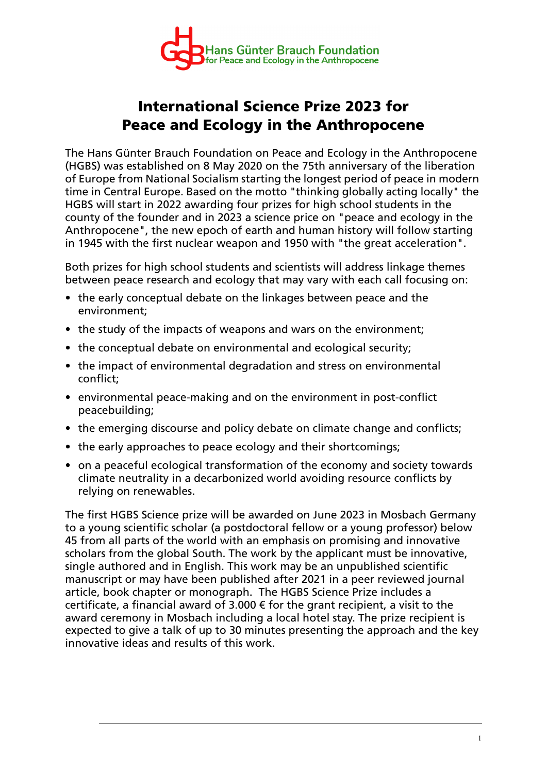

## **International Science Prize 2023 for Peace and Ecology in the Anthropocene**

The Hans Günter Brauch Foundation on Peace and Ecology in the Anthropocene (HGBS) was established on 8 May 2020 on the 75th anniversary of the liberation of Europe from National Socialism starting the longest period of peace in modern time in Central Europe. Based on the motto "thinking globally acting locally" the HGBS will start in 2022 awarding four prizes for high school students in the county of the founder and in 2023 a science price on "peace and ecology in the Anthropocene", the new epoch of earth and human history will follow starting in 1945 with the first nuclear weapon and 1950 with "the great acceleration".

Both prizes for high school students and scientists will address linkage themes between peace research and ecology that may vary with each call focusing on:

- the early conceptual debate on the linkages between peace and the environment;
- the study of the impacts of weapons and wars on the environment;
- the conceptual debate on environmental and ecological security;
- the impact of environmental degradation and stress on environmental conflict;
- environmental peace-making and on the environment in post-conflict peacebuilding;
- the emerging discourse and policy debate on climate change and conflicts;
- the early approaches to peace ecology and their shortcomings;
- on a peaceful ecological transformation of the economy and society towards climate neutrality in a decarbonized world avoiding resource conflicts by relying on renewables.

The first HGBS Science prize will be awarded on June 2023 in Mosbach Germany to a young scientific scholar (a postdoctoral fellow or a young professor) below 45 from all parts of the world with an emphasis on promising and innovative scholars from the global South. The work by the applicant must be innovative, single authored and in English. This work may be an unpublished scientific manuscript or may have been published after 2021 in a peer reviewed journal article, book chapter or monograph. The HGBS Science Prize includes a certificate, a financial award of 3.000  $\epsilon$  for the grant recipient, a visit to the award ceremony in Mosbach including a local hotel stay. The prize recipient is expected to give a talk of up to 30 minutes presenting the approach and the key innovative ideas and results of this work.